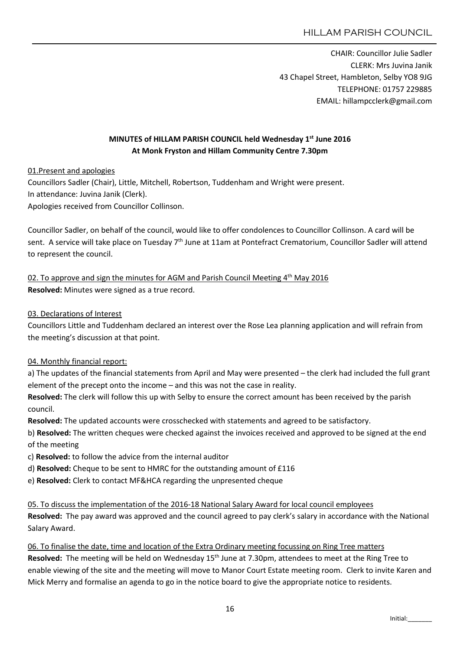CHAIR: Councillor Julie Sadler CLERK: Mrs Juvina Janik 43 Chapel Street, Hambleton, Selby YO8 9JG TELEPHONE: 01757 229885 EMAIL: hillampcclerk@gmail.com

# MINUTES of HILLAM PARISH COUNCIL held Wednesday 1<sup>st</sup> June 2016 At Monk Fryston and Hillam Community Centre 7.30pm

01.Present and apologies

Councillors Sadler (Chair), Little, Mitchell, Robertson, Tuddenham and Wright were present. In attendance: Juvina Janik (Clerk). Apologies received from Councillor Collinson.

Councillor Sadler, on behalf of the council, would like to offer condolences to Councillor Collinson. A card will be sent. A service will take place on Tuesday 7<sup>th</sup> June at 11am at Pontefract Crematorium, Councillor Sadler will attend to represent the council.

02. To approve and sign the minutes for AGM and Parish Council Meeting  $4<sup>th</sup>$  May 2016 Resolved: Minutes were signed as a true record.

### 03. Declarations of Interest

Councillors Little and Tuddenham declared an interest over the Rose Lea planning application and will refrain from the meeting's discussion at that point.

### 04. Monthly financial report:

a) The updates of the financial statements from April and May were presented – the clerk had included the full grant element of the precept onto the income – and this was not the case in reality.

Resolved: The clerk will follow this up with Selby to ensure the correct amount has been received by the parish council.

Resolved: The updated accounts were crosschecked with statements and agreed to be satisfactory.

b) Resolved: The written cheques were checked against the invoices received and approved to be signed at the end of the meeting

- c) Resolved: to follow the advice from the internal auditor
- d) Resolved: Cheque to be sent to HMRC for the outstanding amount of £116
- e) Resolved: Clerk to contact MF&HCA regarding the unpresented cheque

05. To discuss the implementation of the 2016-18 National Salary Award for local council employees Resolved: The pay award was approved and the council agreed to pay clerk's salary in accordance with the National Salary Award.

06. To finalise the date, time and location of the Extra Ordinary meeting focussing on Ring Tree matters Resolved: The meeting will be held on Wednesday 15<sup>th</sup> June at 7.30pm, attendees to meet at the Ring Tree to enable viewing of the site and the meeting will move to Manor Court Estate meeting room. Clerk to invite Karen and Mick Merry and formalise an agenda to go in the notice board to give the appropriate notice to residents.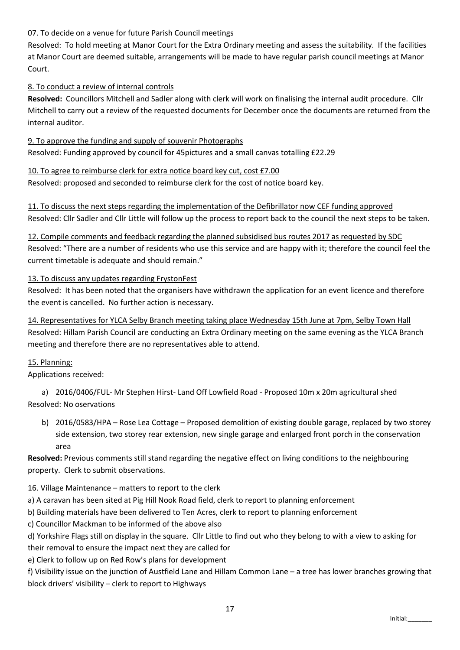## 07. To decide on a venue for future Parish Council meetings

Resolved: To hold meeting at Manor Court for the Extra Ordinary meeting and assess the suitability. If the facilities at Manor Court are deemed suitable, arrangements will be made to have regular parish council meetings at Manor Court.

## 8. To conduct a review of internal controls

Resolved: Councillors Mitchell and Sadler along with clerk will work on finalising the internal audit procedure. Cllr Mitchell to carry out a review of the requested documents for December once the documents are returned from the internal auditor.

9. To approve the funding and supply of souvenir Photographs Resolved: Funding approved by council for 45pictures and a small canvas totalling £22.29

10. To agree to reimburse clerk for extra notice board key cut, cost £7.00 Resolved: proposed and seconded to reimburse clerk for the cost of notice board key.

11. To discuss the next steps regarding the implementation of the Defibrillator now CEF funding approved Resolved: Cllr Sadler and Cllr Little will follow up the process to report back to the council the next steps to be taken.

12. Compile comments and feedback regarding the planned subsidised bus routes 2017 as requested by SDC Resolved: "There are a number of residents who use this service and are happy with it; therefore the council feel the current timetable is adequate and should remain."

### 13. To discuss any updates regarding FrystonFest

Resolved: It has been noted that the organisers have withdrawn the application for an event licence and therefore the event is cancelled. No further action is necessary.

14. Representatives for YLCA Selby Branch meeting taking place Wednesday 15th June at 7pm, Selby Town Hall Resolved: Hillam Parish Council are conducting an Extra Ordinary meeting on the same evening as the YLCA Branch meeting and therefore there are no representatives able to attend.

### 15. Planning:

Applications received:

a) 2016/0406/FUL- Mr Stephen Hirst- Land Off Lowfield Road - Proposed 10m x 20m agricultural shed Resolved: No oservations

b) 2016/0583/HPA – Rose Lea Cottage – Proposed demolition of existing double garage, replaced by two storey side extension, two storey rear extension, new single garage and enlarged front porch in the conservation area

Resolved: Previous comments still stand regarding the negative effect on living conditions to the neighbouring property. Clerk to submit observations.

### 16. Village Maintenance – matters to report to the clerk

a) A caravan has been sited at Pig Hill Nook Road field, clerk to report to planning enforcement

b) Building materials have been delivered to Ten Acres, clerk to report to planning enforcement

c) Councillor Mackman to be informed of the above also

d) Yorkshire Flags still on display in the square. Cllr Little to find out who they belong to with a view to asking for their removal to ensure the impact next they are called for

e) Clerk to follow up on Red Row's plans for development

f) Visibility issue on the junction of Austfield Lane and Hillam Common Lane – a tree has lower branches growing that block drivers' visibility – clerk to report to Highways